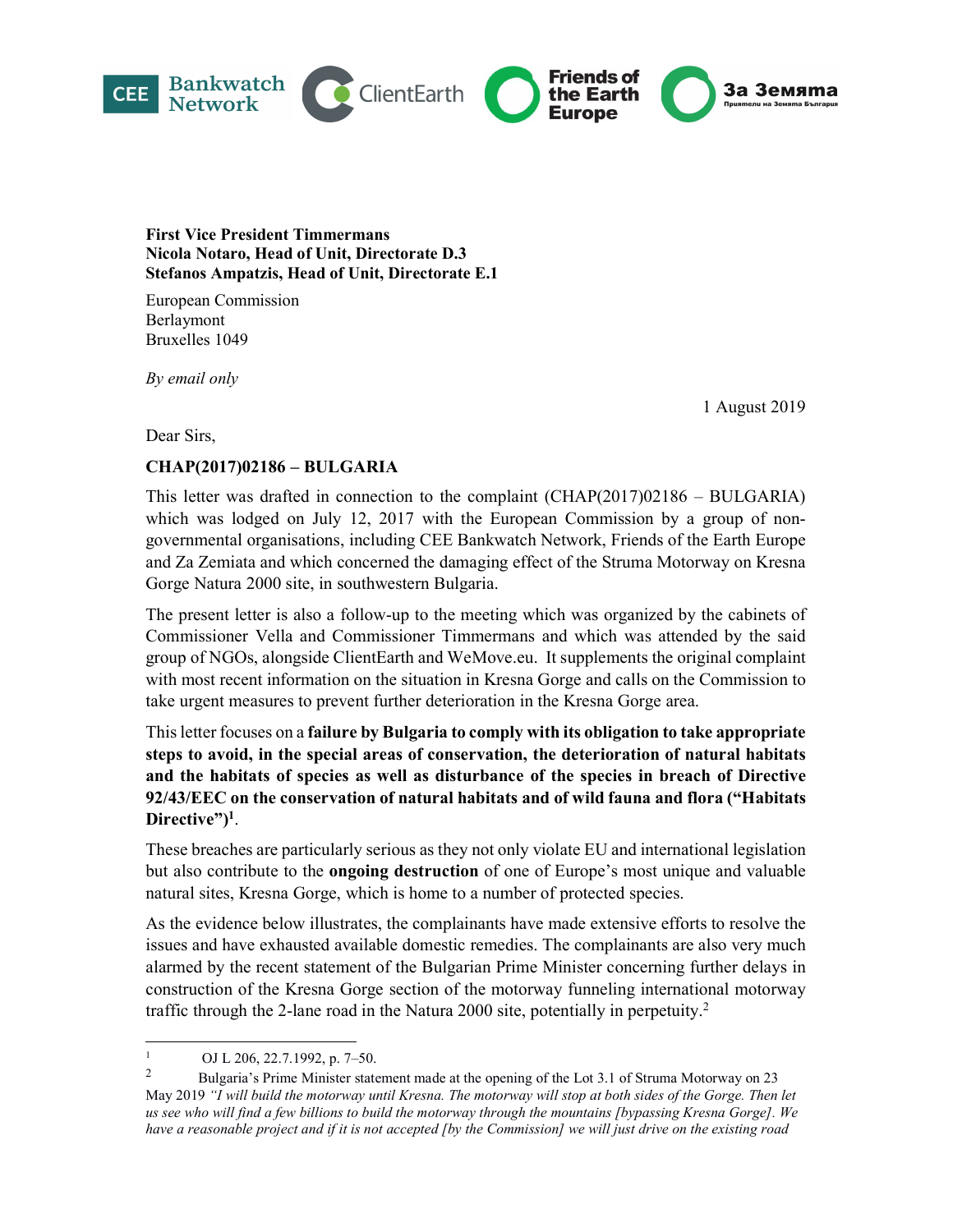

#### First Vice President Timmermans Nicola Notaro, Head of Unit, Directorate D.3 Stefanos Ampatzis, Head of Unit, Directorate E.1

European Commission Berlaymont Bruxelles 1049

By email only

1 August 2019

Dear Sirs,

## CHAP(2017)02186 – BULGARIA

This letter was drafted in connection to the complaint (CHAP(2017)02186 – BULGARIA) which was lodged on July 12, 2017 with the European Commission by a group of nongovernmental organisations, including CEE Bankwatch Network, Friends of the Earth Europe and Za Zemiata and which concerned the damaging effect of the Struma Motorway on Kresna Gorge Natura 2000 site, in southwestern Bulgaria.

The present letter is also a follow-up to the meeting which was organized by the cabinets of Commissioner Vella and Commissioner Timmermans and which was attended by the said group of NGOs, alongside ClientEarth and WeMove.eu. It supplements the original complaint with most recent information on the situation in Kresna Gorge and calls on the Commission to take urgent measures to prevent further deterioration in the Kresna Gorge area.

This letter focuses on a failure by Bulgaria to comply with its obligation to take appropriate steps to avoid, in the special areas of conservation, the deterioration of natural habitats and the habitats of species as well as disturbance of the species in breach of Directive 92/43/EEC on the conservation of natural habitats and of wild fauna and flora ("Habitats Directive")<sup>1</sup>.<br>These breaches are particularly serious as they not only violate EU and international legislation

but also contribute to the **ongoing destruction** of one of Europe's most unique and valuable natural sites, Kresna Gorge, which is home to a number of protected species.

As the evidence below illustrates, the complainants have made extensive efforts to resolve the issues and have exhausted available domestic remedies. The complainants are also very much alarmed by the recent statement of the Bulgarian Prime Minister concerning further delays in construction of the Kresna Gorge section of the motorway funneling international motorway traffic through the 2-lane road in the Natura 2000 site, potentially in perpetuity.<sup>2</sup>

<sup>1</sup> OJ L 206, 22.7.1992, p. 7–50.

<sup>&</sup>lt;sup>2</sup> Bulgaria's Prime Minister statement made at the opening of the Lot 3.1 of Struma Motorway on 23 May 2019 "I will build the motorway until Kresna. The motorway will stop at both sides of the Gorge. Then let us see who will find a few billions to build the motorway through the mountains [bypassing Kresna Gorge]. We have a reasonable project and if it is not accepted [by the Commission] we will just drive on the existing road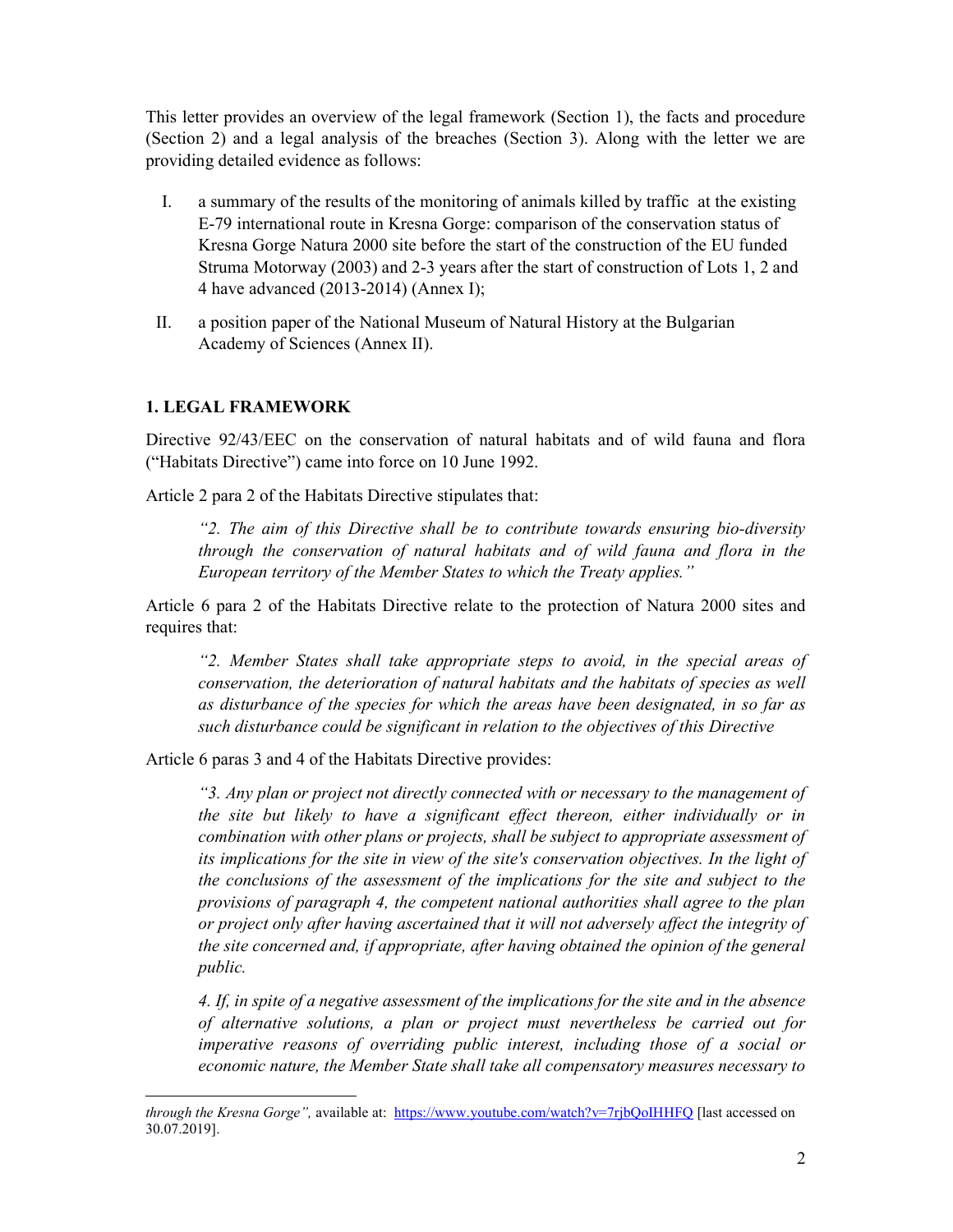This letter provides an overview of the legal framework (Section 1), the facts and procedure (Section 2) and a legal analysis of the breaches (Section 3). Along with the letter we are providing detailed evidence as follows:

- I. a summary of the results of the monitoring of animals killed by traffic at the existing E-79 international route in Kresna Gorge: comparison of the conservation status of Kresna Gorge Natura 2000 site before the start of the construction of the EU funded Struma Motorway (2003) and 2-3 years after the start of construction of Lots 1, 2 and 4 have advanced (2013-2014) (Annex I);
- II. a position paper of the National Museum of Natural History at the Bulgarian Academy of Sciences (Annex II).

#### 1. LEGAL FRAMEWORK

-

Directive 92/43/EEC on the conservation of natural habitats and of wild fauna and flora ("Habitats Directive") came into force on 10 June 1992.

Article 2 para 2 of the Habitats Directive stipulates that:

"2. The aim of this Directive shall be to contribute towards ensuring bio-diversity through the conservation of natural habitats and of wild fauna and flora in the European territory of the Member States to which the Treaty applies."

Article 6 para 2 of the Habitats Directive relate to the protection of Natura 2000 sites and requires that:

"2. Member States shall take appropriate steps to avoid, in the special areas of conservation, the deterioration of natural habitats and the habitats of species as well as disturbance of the species for which the areas have been designated, in so far as such disturbance could be significant in relation to the objectives of this Directive

Article 6 paras 3 and 4 of the Habitats Directive provides:

"3. Any plan or project not directly connected with or necessary to the management of the site but likely to have a significant effect thereon, either individually or in combination with other plans or projects, shall be subject to appropriate assessment of its implications for the site in view of the site's conservation objectives. In the light of the conclusions of the assessment of the implications for the site and subject to the provisions of paragraph 4, the competent national authorities shall agree to the plan or project only after having ascertained that it will not adversely affect the integrity of the site concerned and, if appropriate, after having obtained the opinion of the general public.

4. If, in spite of a negative assessment of the implications for the site and in the absence of alternative solutions, a plan or project must nevertheless be carried out for imperative reasons of overriding public interest, including those of a social or economic nature, the Member State shall take all compensatory measures necessary to

through the Kresna Gorge", available at: https://www.youtube.com/watch?v=7rjbQoIHHFQ [last accessed on 30.07.2019].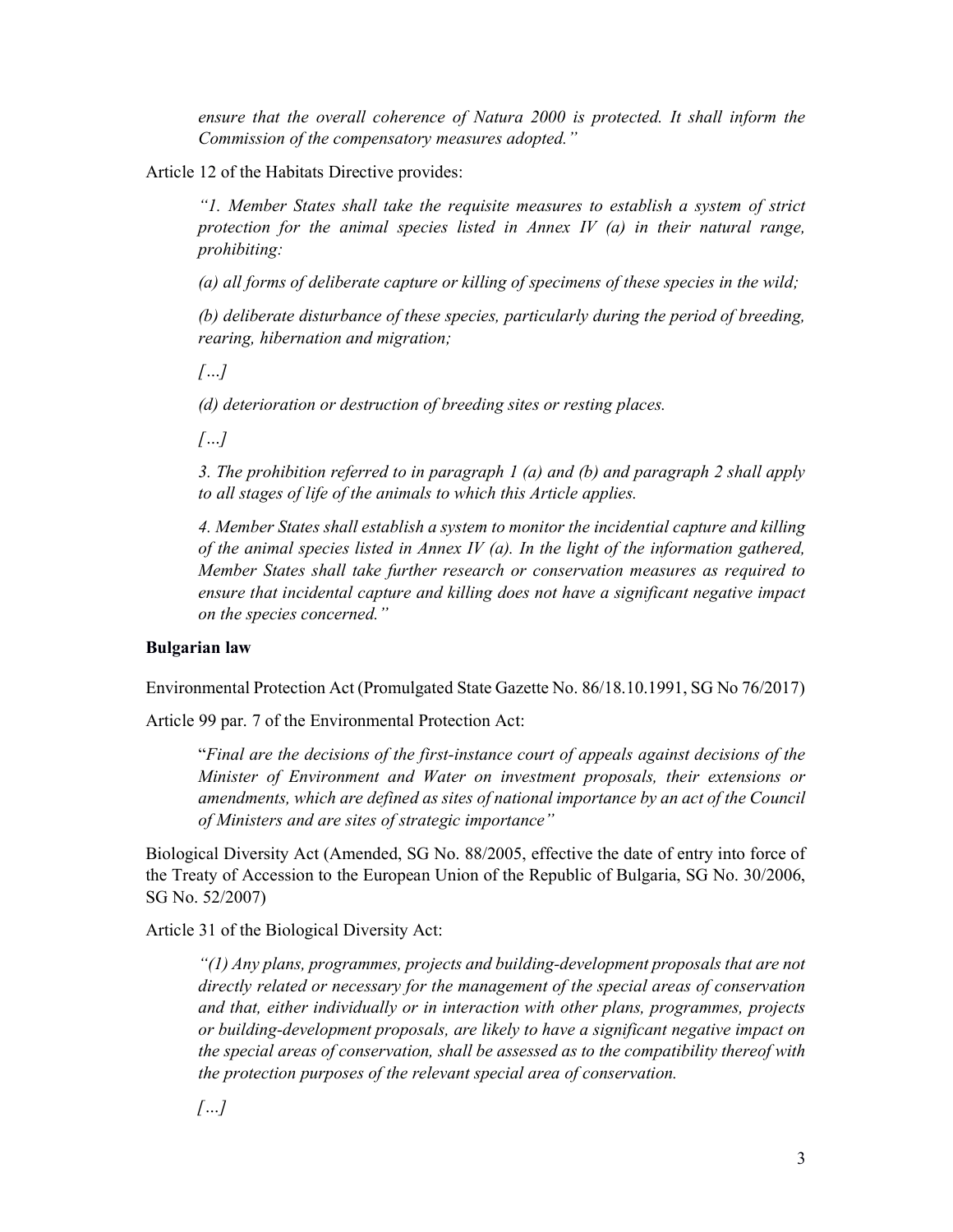ensure that the overall coherence of Natura 2000 is protected. It shall inform the Commission of the compensatory measures adopted."

Article 12 of the Habitats Directive provides:

"1. Member States shall take the requisite measures to establish a system of strict protection for the animal species listed in Annex IV  $(a)$  in their natural range, prohibiting:

(a) all forms of deliberate capture or killing of specimens of these species in the wild;

(b) deliberate disturbance of these species, particularly during the period of breeding, rearing, hibernation and migration;

 $[...]$ 

(d) deterioration or destruction of breeding sites or resting places.

 $[...]$ 

3. The prohibition referred to in paragraph 1 (a) and (b) and paragraph 2 shall apply to all stages of life of the animals to which this Article applies.

4. Member States shall establish a system to monitor the incidential capture and killing of the animal species listed in Annex IV (a). In the light of the information gathered, Member States shall take further research or conservation measures as required to ensure that incidental capture and killing does not have a significant negative impact on the species concerned."

#### Bulgarian law

Environmental Protection Act (Promulgated State Gazette No. 86/18.10.1991, SG No 76/2017)

Article 99 par. 7 of the Environmental Protection Act:

"Final are the decisions of the first-instance court of appeals against decisions of the Minister of Environment and Water on investment proposals, their extensions or amendments, which are defined as sites of national importance by an act of the Council of Ministers and are sites of strategic importance"

Biological Diversity Act (Amended, SG No. 88/2005, effective the date of entry into force of the Treaty of Accession to the European Union of the Republic of Bulgaria, SG No. 30/2006, SG No. 52/2007)

Article 31 of the Biological Diversity Act:

 $\lq$ (1) Any plans, programmes, projects and building-development proposals that are not directly related or necessary for the management of the special areas of conservation and that, either individually or in interaction with other plans, programmes, projects or building-development proposals, are likely to have a significant negative impact on the special areas of conservation, shall be assessed as to the compatibility thereof with the protection purposes of the relevant special area of conservation.

 $\sqrt{}}$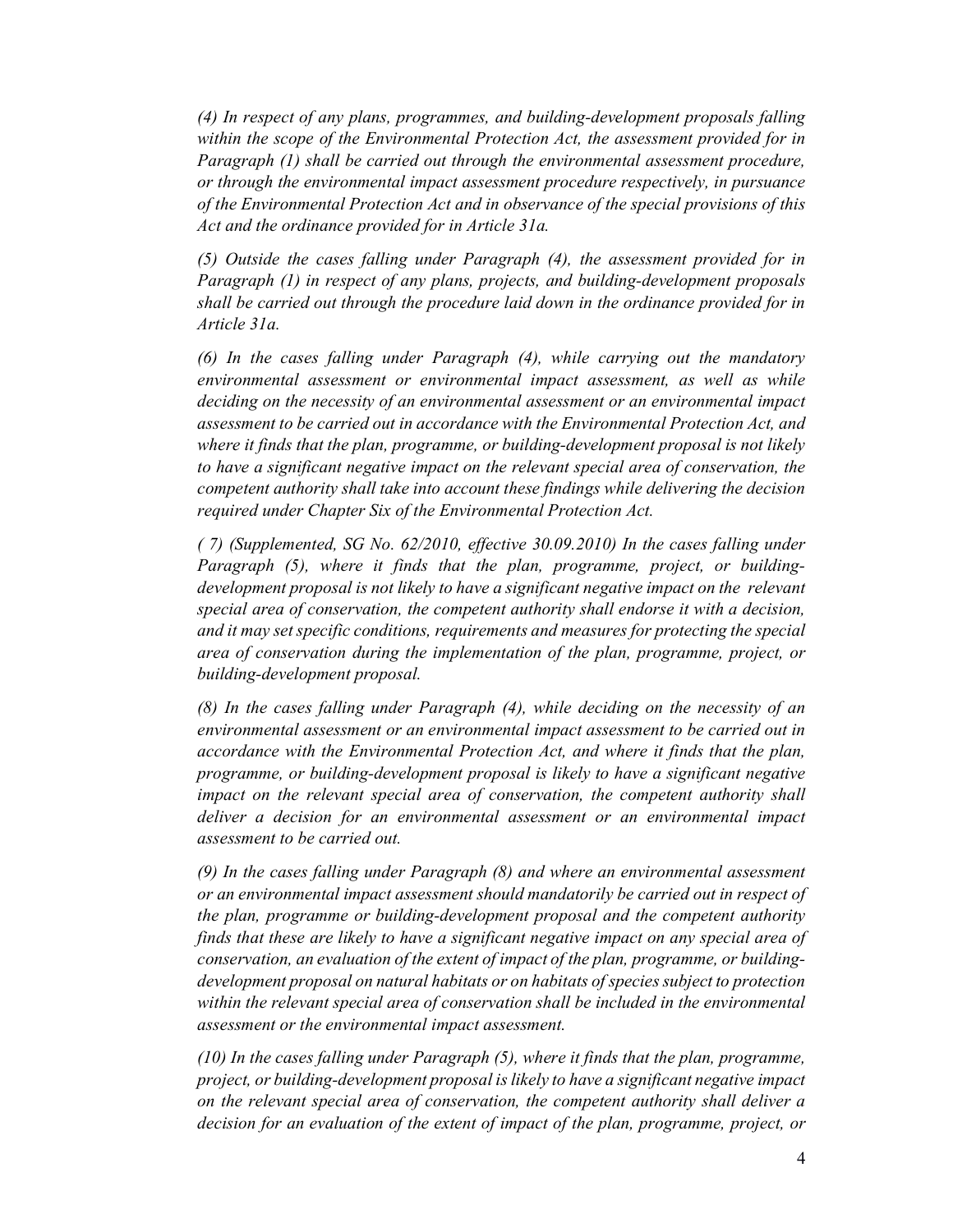(4) In respect of any plans, programmes, and building-development proposals falling within the scope of the Environmental Protection Act, the assessment provided for in Paragraph (1) shall be carried out through the environmental assessment procedure, or through the environmental impact assessment procedure respectively, in pursuance of the Environmental Protection Act and in observance of the special provisions of this Act and the ordinance provided for in Article 31a.

(5) Outside the cases falling under Paragraph (4), the assessment provided for in Paragraph (1) in respect of any plans, projects, and building-development proposals shall be carried out through the procedure laid down in the ordinance provided for in Article 31a.

(6) In the cases falling under Paragraph (4), while carrying out the mandatory environmental assessment or environmental impact assessment, as well as while deciding on the necessity of an environmental assessment or an environmental impact assessment to be carried out in accordance with the Environmental Protection Act, and where it finds that the plan, programme, or building-development proposal is not likely to have a significant negative impact on the relevant special area of conservation, the competent authority shall take into account these findings while delivering the decision required under Chapter Six of the Environmental Protection Act.

( 7) (Supplemented, SG No. 62/2010, effective 30.09.2010) In the cases falling under Paragraph (5), where it finds that the plan, programme, project, or buildingdevelopment proposal is not likely to have a significant negative impact on the relevant special area of conservation, the competent authority shall endorse it with a decision, and it may set specific conditions, requirements and measures for protecting the special area of conservation during the implementation of the plan, programme, project, or building-development proposal.

(8) In the cases falling under Paragraph (4), while deciding on the necessity of an environmental assessment or an environmental impact assessment to be carried out in accordance with the Environmental Protection Act, and where it finds that the plan, programme, or building-development proposal is likely to have a significant negative impact on the relevant special area of conservation, the competent authority shall deliver a decision for an environmental assessment or an environmental impact assessment to be carried out.

(9) In the cases falling under Paragraph (8) and where an environmental assessment or an environmental impact assessment should mandatorily be carried out in respect of the plan, programme or building-development proposal and the competent authority finds that these are likely to have a significant negative impact on any special area of conservation, an evaluation of the extent of impact of the plan, programme, or buildingdevelopment proposal on natural habitats or on habitats of species subject to protection within the relevant special area of conservation shall be included in the environmental assessment or the environmental impact assessment.

(10) In the cases falling under Paragraph (5), where it finds that the plan, programme, project, or building-development proposal is likely to have a significant negative impact on the relevant special area of conservation, the competent authority shall deliver a decision for an evaluation of the extent of impact of the plan, programme, project, or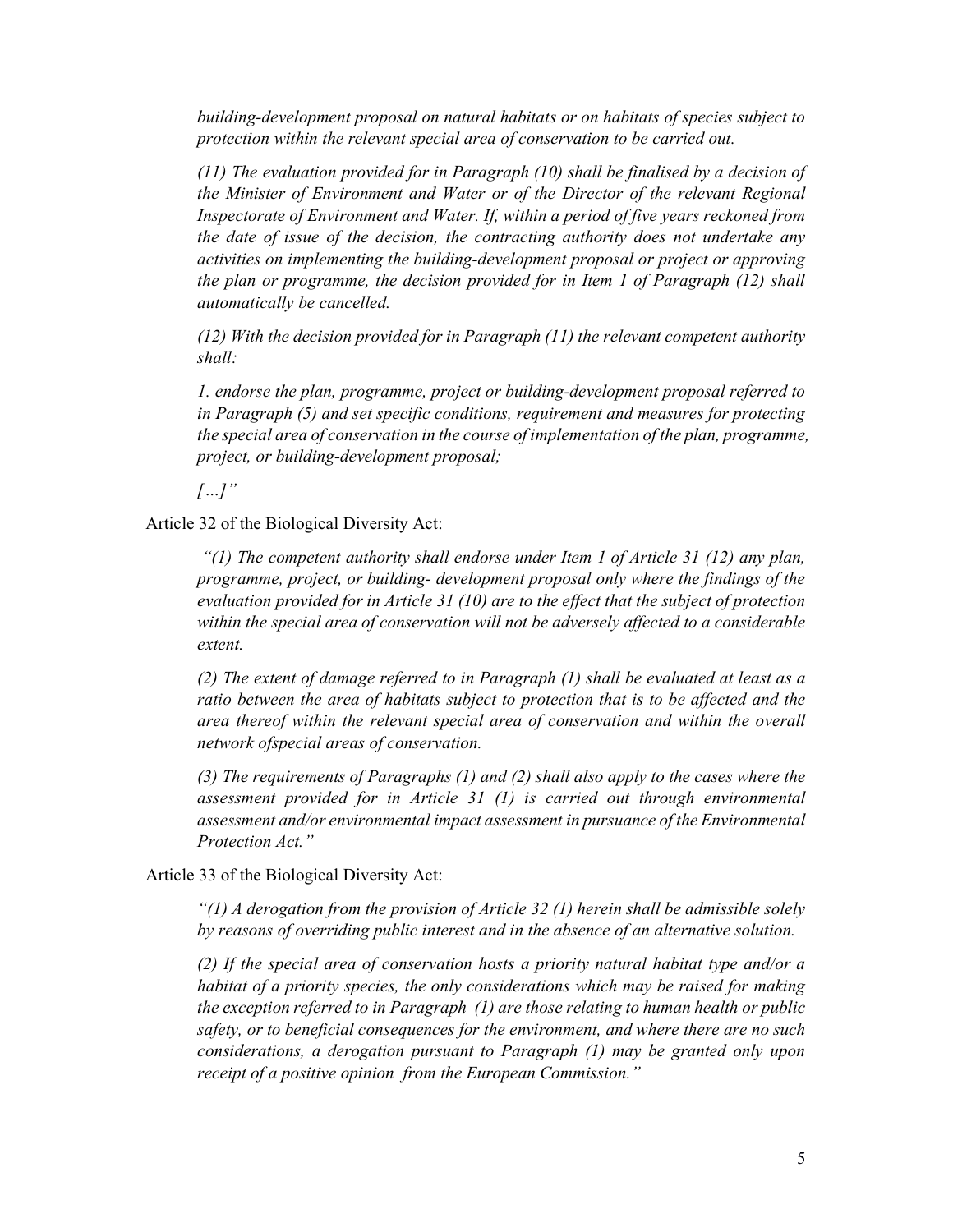building-development proposal on natural habitats or on habitats of species subject to protection within the relevant special area of conservation to be carried out.

(11) The evaluation provided for in Paragraph (10) shall be finalised by a decision of the Minister of Environment and Water or of the Director of the relevant Regional Inspectorate of Environment and Water. If, within a period of five years reckoned from the date of issue of the decision, the contracting authority does not undertake any activities on implementing the building-development proposal or project or approving the plan or programme, the decision provided for in Item 1 of Paragraph (12) shall automatically be cancelled.

 $(12)$  With the decision provided for in Paragraph  $(11)$  the relevant competent authority shall:

1. endorse the plan, programme, project or building-development proposal referred to in Paragraph (5) and set specific conditions, requirement and measures for protecting the special area of conservation in the course of implementation of the plan, programme, project, or building-development proposal;

 $[...]$ "

Article 32 of the Biological Diversity Act:

"(1) The competent authority shall endorse under Item 1 of Article 31 (12) any plan, programme, project, or building- development proposal only where the findings of the evaluation provided for in Article 31 (10) are to the effect that the subject of protection within the special area of conservation will not be adversely affected to a considerable extent.

(2) The extent of damage referred to in Paragraph (1) shall be evaluated at least as a ratio between the area of habitats subject to protection that is to be affected and the area thereof within the relevant special area of conservation and within the overall network ofspecial areas of conservation.

(3) The requirements of Paragraphs (1) and (2) shall also apply to the cases where the assessment provided for in Article 31 (1) is carried out through environmental assessment and/or environmental impact assessment in pursuance of the Environmental Protection Act."

Article 33 of the Biological Diversity Act:

"(1) A derogation from the provision of Article 32 (1) herein shall be admissible solely by reasons of overriding public interest and in the absence of an alternative solution.

(2) If the special area of conservation hosts a priority natural habitat type and/or a habitat of a priority species, the only considerations which may be raised for making the exception referred to in Paragraph (1) are those relating to human health or public safety, or to beneficial consequences for the environment, and where there are no such considerations, a derogation pursuant to Paragraph (1) may be granted only upon receipt of a positive opinion from the European Commission."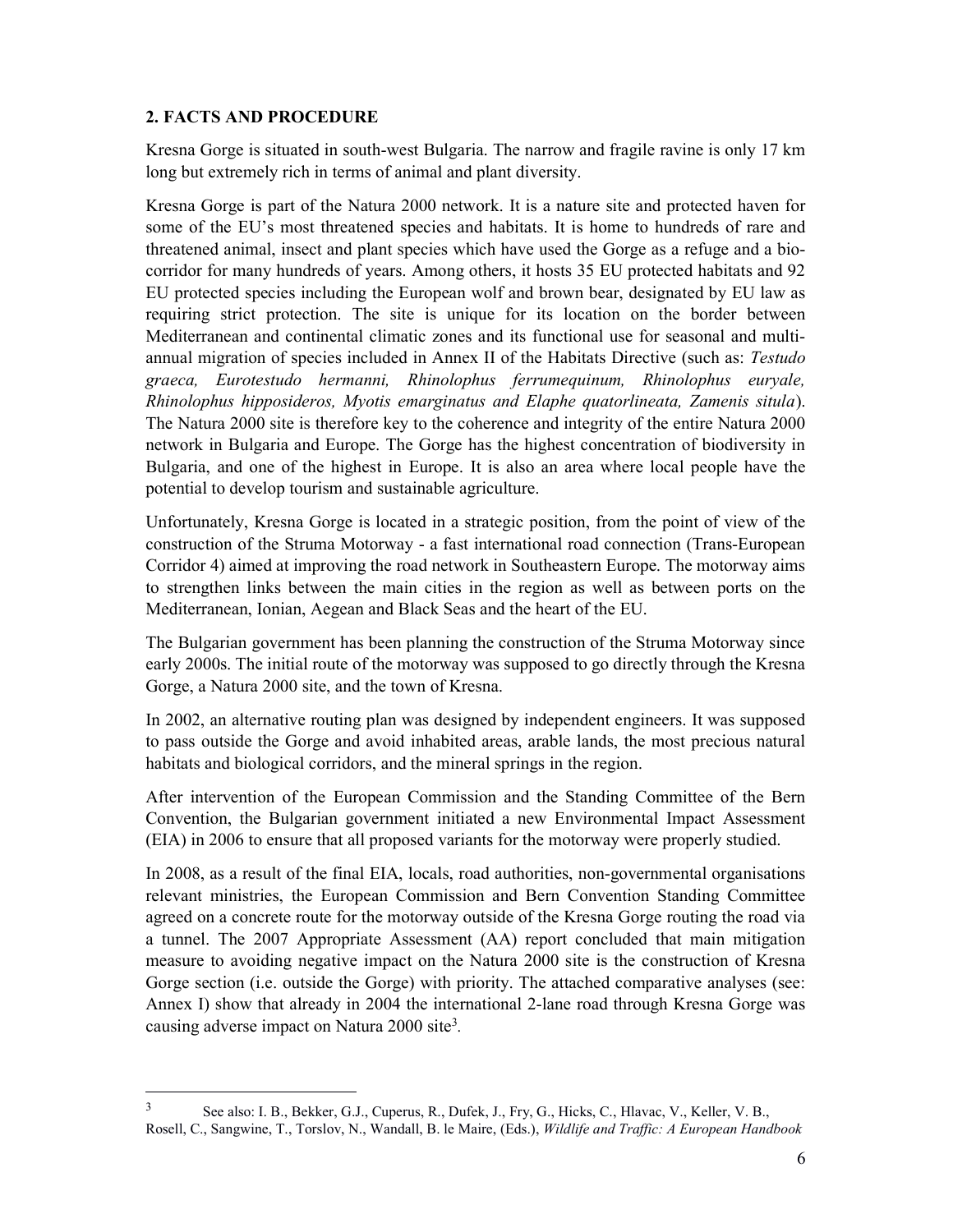## 2. FACTS AND PROCEDURE

-

Kresna Gorge is situated in south-west Bulgaria. The narrow and fragile ravine is only 17 km long but extremely rich in terms of animal and plant diversity.

Kresna Gorge is part of the Natura 2000 network. It is a nature site and protected haven for some of the EU's most threatened species and habitats. It is home to hundreds of rare and threatened animal, insect and plant species which have used the Gorge as a refuge and a biocorridor for many hundreds of years. Among others, it hosts 35 EU protected habitats and 92 EU protected species including the European wolf and brown bear, designated by EU law as requiring strict protection. The site is unique for its location on the border between Mediterranean and continental climatic zones and its functional use for seasonal and multiannual migration of species included in Annex II of the Habitats Directive (such as: Testudo graeca, Eurotestudo hermanni, Rhinolophus ferrumequinum, Rhinolophus euryale, Rhinolophus hipposideros, Myotis emarginatus and Elaphe quatorlineata, Zamenis situla). The Natura 2000 site is therefore key to the coherence and integrity of the entire Natura 2000 network in Bulgaria and Europe. The Gorge has the highest concentration of biodiversity in Bulgaria, and one of the highest in Europe. It is also an area where local people have the potential to develop tourism and sustainable agriculture.

Unfortunately, Kresna Gorge is located in a strategic position, from the point of view of the construction of the Struma Motorway - a fast international road connection (Trans-European Corridor 4) aimed at improving the road network in Southeastern Europe. The motorway aims to strengthen links between the main cities in the region as well as between ports on the Mediterranean, Ionian, Aegean and Black Seas and the heart of the EU.

The Bulgarian government has been planning the construction of the Struma Motorway since early 2000s. The initial route of the motorway was supposed to go directly through the Kresna Gorge, a Natura 2000 site, and the town of Kresna.

In 2002, an alternative routing plan was designed by independent engineers. It was supposed to pass outside the Gorge and avoid inhabited areas, arable lands, the most precious natural habitats and biological corridors, and the mineral springs in the region.

After intervention of the European Commission and the Standing Committee of the Bern Convention, the Bulgarian government initiated a new Environmental Impact Assessment (EIA) in 2006 to ensure that all proposed variants for the motorway were properly studied.

In 2008, as a result of the final EIA, locals, road authorities, non-governmental organisations relevant ministries, the European Commission and Bern Convention Standing Committee agreed on a concrete route for the motorway outside of the Kresna Gorge routing the road via a tunnel. The 2007 Appropriate Assessment (AA) report concluded that main mitigation measure to avoiding negative impact on the Natura 2000 site is the construction of Kresna Gorge section (i.e. outside the Gorge) with priority. The attached comparative analyses (see: Annex I) show that already in 2004 the international 2-lane road through Kresna Gorge was causing adverse impact on Natura 2000 site<sup>3</sup>.

<sup>&</sup>lt;sup>3</sup> See also: I. B., Bekker, G.J., Cuperus, R., Dufek, J., Fry, G., Hicks, C., Hlavac, V., Keller, V. B., Rosell, C., Sangwine, T., Torslov, N., Wandall, B. le Maire, (Eds.), Wildlife and Traffic: A European Handbook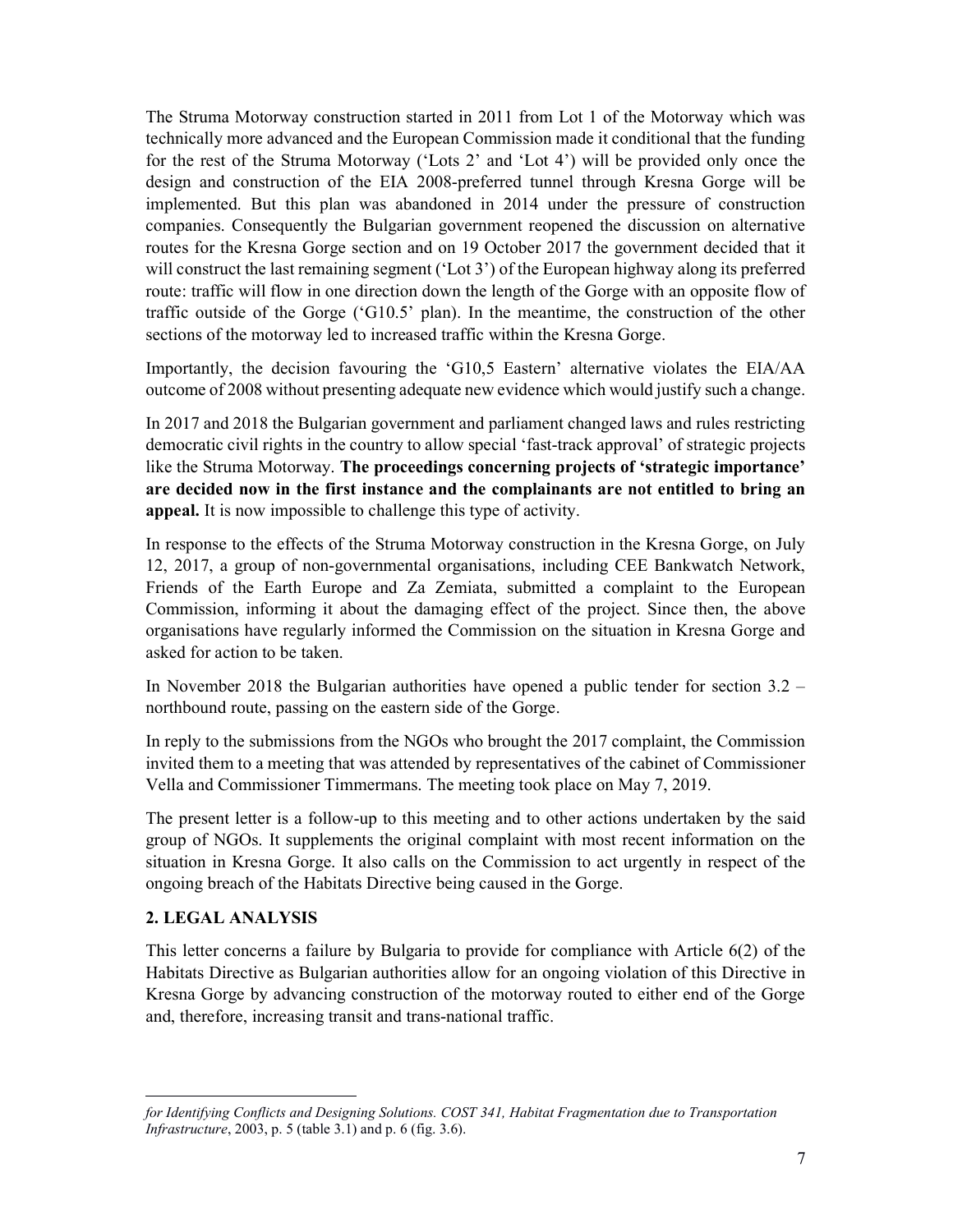The Struma Motorway construction started in 2011 from Lot 1 of the Motorway which was technically more advanced and the European Commission made it conditional that the funding for the rest of the Struma Motorway ('Lots 2' and 'Lot 4') will be provided only once the design and construction of the EIA 2008-preferred tunnel through Kresna Gorge will be implemented. But this plan was abandoned in 2014 under the pressure of construction companies. Consequently the Bulgarian government reopened the discussion on alternative routes for the Kresna Gorge section and on 19 October 2017 the government decided that it will construct the last remaining segment ('Lot 3') of the European highway along its preferred route: traffic will flow in one direction down the length of the Gorge with an opposite flow of traffic outside of the Gorge ('G10.5' plan). In the meantime, the construction of the other sections of the motorway led to increased traffic within the Kresna Gorge.

Importantly, the decision favouring the 'G10,5 Eastern' alternative violates the EIA/AA outcome of 2008 without presenting adequate new evidence which would justify such a change.

In 2017 and 2018 the Bulgarian government and parliament changed laws and rules restricting democratic civil rights in the country to allow special 'fast-track approval' of strategic projects like the Struma Motorway. The proceedings concerning projects of 'strategic importance' are decided now in the first instance and the complainants are not entitled to bring an appeal. It is now impossible to challenge this type of activity.

In response to the effects of the Struma Motorway construction in the Kresna Gorge, on July 12, 2017, a group of non-governmental organisations, including CEE Bankwatch Network, Friends of the Earth Europe and Za Zemiata, submitted a complaint to the European Commission, informing it about the damaging effect of the project. Since then, the above organisations have regularly informed the Commission on the situation in Kresna Gorge and asked for action to be taken.

In November 2018 the Bulgarian authorities have opened a public tender for section 3.2 – northbound route, passing on the eastern side of the Gorge.

In reply to the submissions from the NGOs who brought the 2017 complaint, the Commission invited them to a meeting that was attended by representatives of the cabinet of Commissioner Vella and Commissioner Timmermans. The meeting took place on May 7, 2019.

The present letter is a follow-up to this meeting and to other actions undertaken by the said group of NGOs. It supplements the original complaint with most recent information on the situation in Kresna Gorge. It also calls on the Commission to act urgently in respect of the ongoing breach of the Habitats Directive being caused in the Gorge.

#### 2. LEGAL ANALYSIS

-

This letter concerns a failure by Bulgaria to provide for compliance with Article 6(2) of the Habitats Directive as Bulgarian authorities allow for an ongoing violation of this Directive in Kresna Gorge by advancing construction of the motorway routed to either end of the Gorge and, therefore, increasing transit and trans-national traffic.

for Identifying Conflicts and Designing Solutions. COST 341, Habitat Fragmentation due to Transportation Infrastructure, 2003, p. 5 (table 3.1) and p. 6 (fig. 3.6).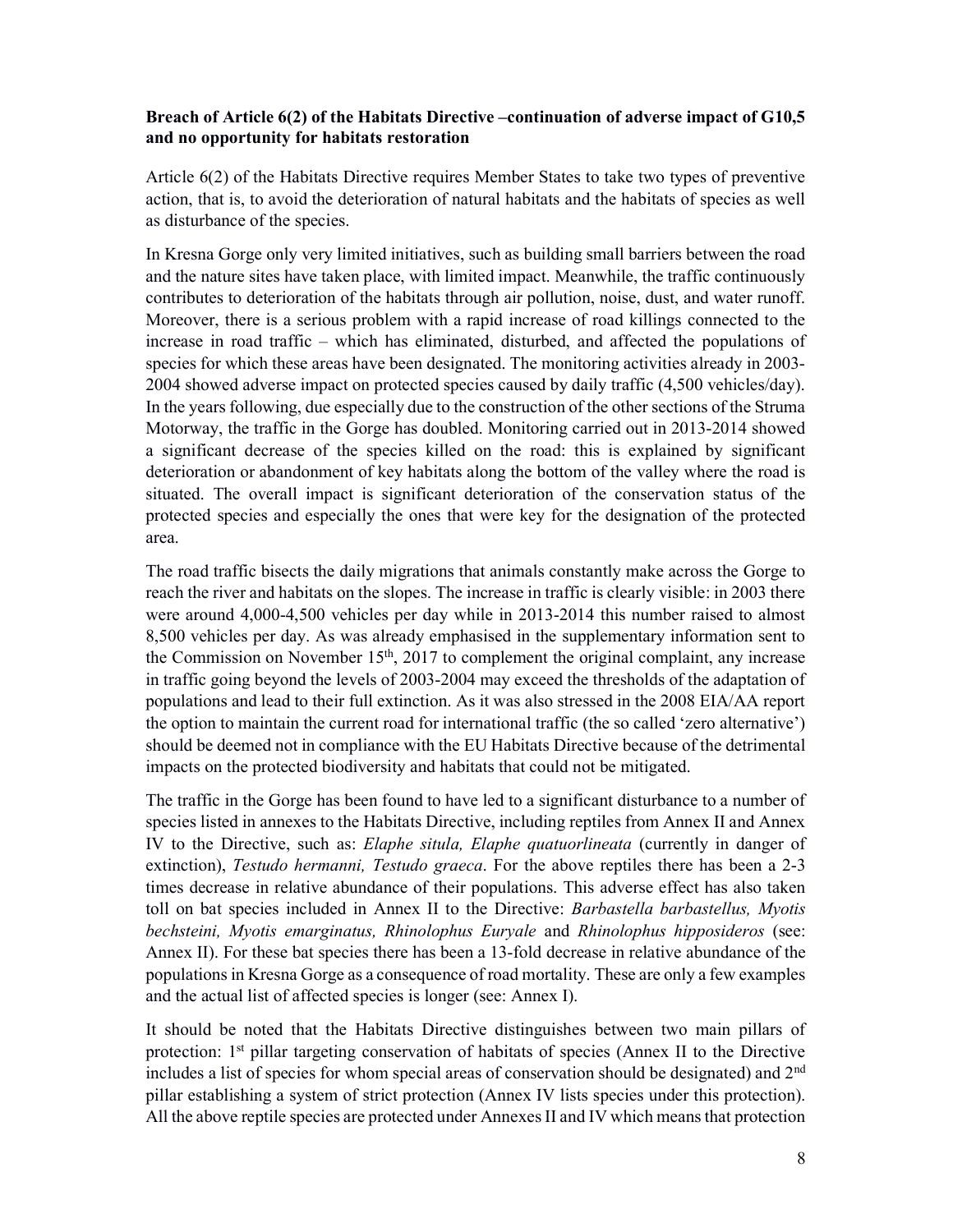## Breach of Article 6(2) of the Habitats Directive –continuation of adverse impact of G10,5 and no opportunity for habitats restoration

Article 6(2) of the Habitats Directive requires Member States to take two types of preventive action, that is, to avoid the deterioration of natural habitats and the habitats of species as well as disturbance of the species.

In Kresna Gorge only very limited initiatives, such as building small barriers between the road and the nature sites have taken place, with limited impact. Meanwhile, the traffic continuously contributes to deterioration of the habitats through air pollution, noise, dust, and water runoff. Moreover, there is a serious problem with a rapid increase of road killings connected to the increase in road traffic – which has eliminated, disturbed, and affected the populations of species for which these areas have been designated. The monitoring activities already in 2003- 2004 showed adverse impact on protected species caused by daily traffic (4,500 vehicles/day). In the years following, due especially due to the construction of the other sections of the Struma Motorway, the traffic in the Gorge has doubled. Monitoring carried out in 2013-2014 showed a significant decrease of the species killed on the road: this is explained by significant deterioration or abandonment of key habitats along the bottom of the valley where the road is situated. The overall impact is significant deterioration of the conservation status of the protected species and especially the ones that were key for the designation of the protected area.

The road traffic bisects the daily migrations that animals constantly make across the Gorge to reach the river and habitats on the slopes. The increase in traffic is clearly visible: in 2003 there were around 4,000-4,500 vehicles per day while in 2013-2014 this number raised to almost 8,500 vehicles per day. As was already emphasised in the supplementary information sent to the Commission on November  $15<sup>th</sup>$ , 2017 to complement the original complaint, any increase in traffic going beyond the levels of 2003-2004 may exceed the thresholds of the adaptation of populations and lead to their full extinction. As it was also stressed in the 2008 EIA/AA report the option to maintain the current road for international traffic (the so called 'zero alternative') should be deemed not in compliance with the EU Habitats Directive because of the detrimental impacts on the protected biodiversity and habitats that could not be mitigated.

The traffic in the Gorge has been found to have led to a significant disturbance to a number of species listed in annexes to the Habitats Directive, including reptiles from Annex II and Annex IV to the Directive, such as: Elaphe situla, Elaphe quatuorlineata (currently in danger of extinction), *Testudo hermanni*, *Testudo graeca*. For the above reptiles there has been a 2-3 times decrease in relative abundance of their populations. This adverse effect has also taken toll on bat species included in Annex II to the Directive: Barbastella barbastellus, Myotis bechsteini, Myotis emarginatus, Rhinolophus Euryale and Rhinolophus hipposideros (see: Annex II). For these bat species there has been a 13-fold decrease in relative abundance of the populations in Kresna Gorge as a consequence of road mortality. These are only a few examples and the actual list of affected species is longer (see: Annex I).

It should be noted that the Habitats Directive distinguishes between two main pillars of protection: 1<sup>st</sup> pillar targeting conservation of habitats of species (Annex II to the Directive includes a list of species for whom special areas of conservation should be designated) and 2nd pillar establishing a system of strict protection (Annex IV lists species under this protection). All the above reptile species are protected under Annexes II and IV which means that protection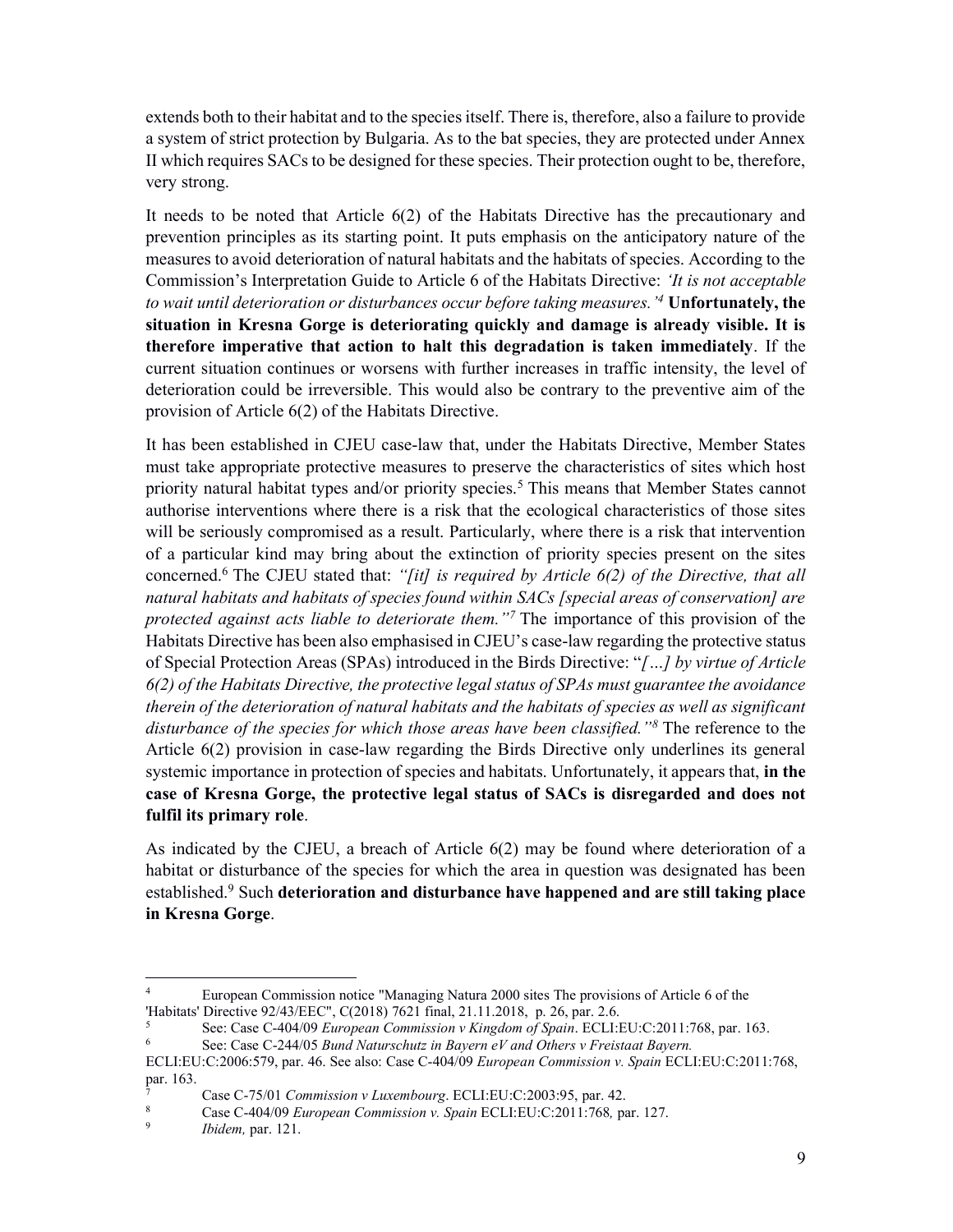extends both to their habitat and to the species itself. There is, therefore, also a failure to provide a system of strict protection by Bulgaria. As to the bat species, they are protected under Annex II which requires SACs to be designed for these species. Their protection ought to be, therefore, very strong.

It needs to be noted that Article 6(2) of the Habitats Directive has the precautionary and prevention principles as its starting point. It puts emphasis on the anticipatory nature of the measures to avoid deterioration of natural habitats and the habitats of species. According to the Commission's Interpretation Guide to Article 6 of the Habitats Directive: 'It is not acceptable to wait until deterioration or disturbances occur before taking measures.<sup>4</sup> Unfortunately, the situation in Kresna Gorge is deteriorating quickly and damage is already visible. It is therefore imperative that action to halt this degradation is taken immediately. If the current situation continues or worsens with further increases in traffic intensity, the level of deterioration could be irreversible. This would also be contrary to the preventive aim of the provision of Article 6(2) of the Habitats Directive.

It has been established in CJEU case-law that, under the Habitats Directive, Member States must take appropriate protective measures to preserve the characteristics of sites which host priority natural habitat types and/or priority species.<sup>5</sup> This means that Member States cannot authorise interventions where there is a risk that the ecological characteristics of those sites will be seriously compromised as a result. Particularly, where there is a risk that intervention of a particular kind may bring about the extinction of priority species present on the sites concerned.<sup>6</sup> The CJEU stated that: "[it] is required by Article  $6(2)$  of the Directive, that all natural habitats and habitats of species found within SACs [special areas of conservation] are protected against acts liable to deteriorate them."<sup>7</sup> The importance of this provision of the Habitats Directive has been also emphasised in CJEU's case-law regarding the protective status of Special Protection Areas (SPAs) introduced in the Birds Directive: "[...] by virtue of Article 6(2) of the Habitats Directive, the protective legal status of SPAs must guarantee the avoidance therein of the deterioration of natural habitats and the habitats of species as well as significant disturbance of the species for which those areas have been classified." $\delta$  The reference to the Article 6(2) provision in case-law regarding the Birds Directive only underlines its general systemic importance in protection of species and habitats. Unfortunately, it appears that, in the case of Kresna Gorge, the protective legal status of SACs is disregarded and does not fulfil its primary role.

As indicated by the CJEU, a breach of Article 6(2) may be found where deterioration of a habitat or disturbance of the species for which the area in question was designated has been established.<sup>9</sup> Such deterioration and disturbance have happened and are still taking place in Kresna Gorge.

-

<sup>4</sup>European Commission notice "Managing Natura 2000 sites The provisions of Article 6 of the 'Habitats' Directive 92/43/EEC", C(2018) 7621 final, 21.11.2018, p. 26, par. 2.6.

<sup>5</sup>See: Case C-404/09 European Commission v Kingdom of Spain. ECLI:EU:C:2011:768, par. 163.

See: Case C-244/05 Bund Naturschutz in Bayern eV and Others v Freistaat Bayern.

ECLI:EU:C:2006:579, par. 46. See also: Case C-404/09 European Commission v. Spain ECLI:EU:C:2011:768, par. 163.

<sup>&</sup>lt;sup>7</sup> Case C-75/01 Commission v Luxembourg. ECLI:EU:C:2003:95, par. 42.<br><sup>8</sup> Case C 404/09 European Commission v Spain ECLI:EU:C:2011:768, pa

<sup>&</sup>lt;sup>8</sup> Case C-404/09 *European Commission v. Spain* ECLI:EU:C:2011:768, par. 127.<br><sup>9</sup> Hidam par. 121

Ibidem, par. 121.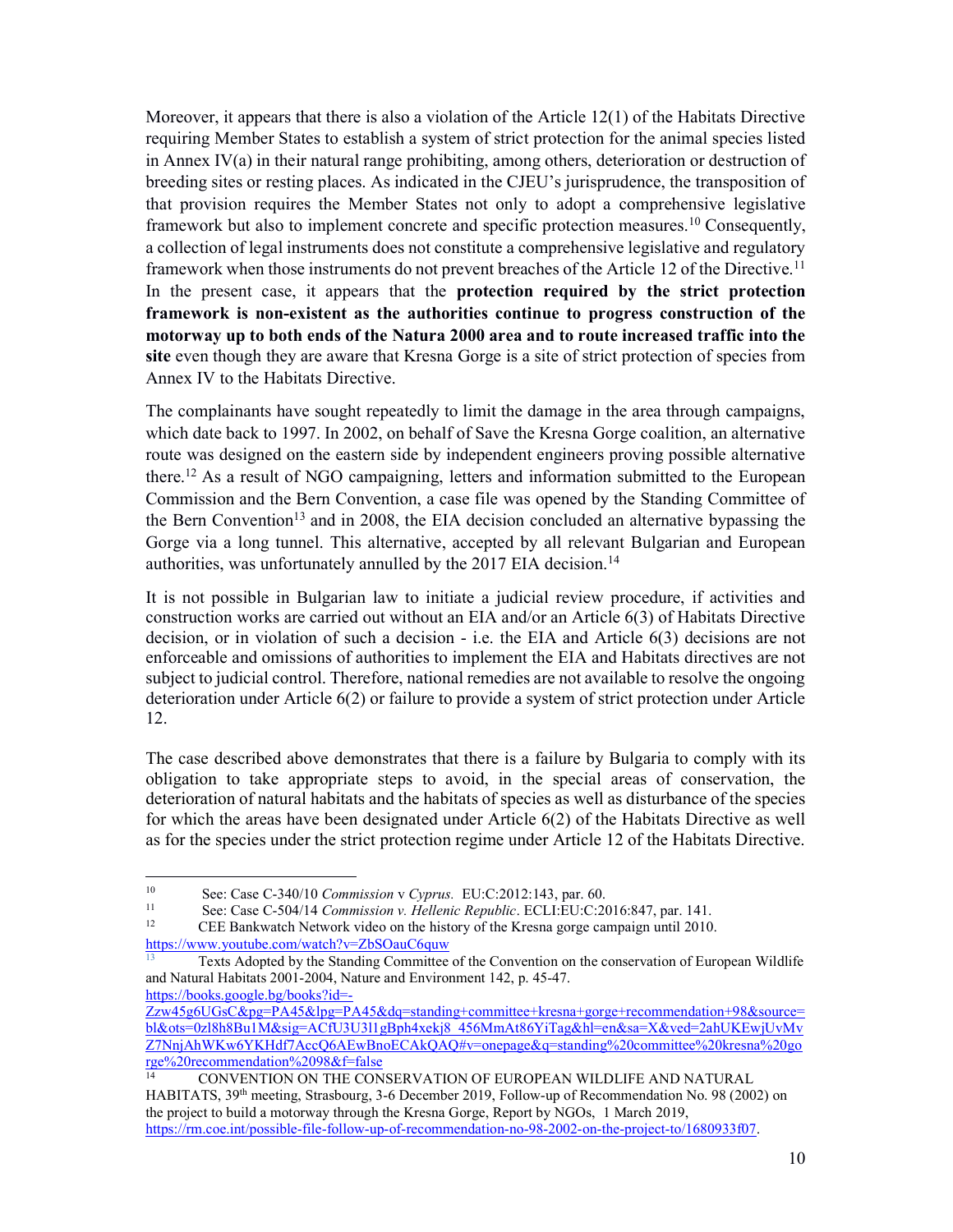Moreover, it appears that there is also a violation of the Article 12(1) of the Habitats Directive requiring Member States to establish a system of strict protection for the animal species listed in Annex IV(a) in their natural range prohibiting, among others, deterioration or destruction of breeding sites or resting places. As indicated in the CJEU's jurisprudence, the transposition of that provision requires the Member States not only to adopt a comprehensive legislative framework but also to implement concrete and specific protection measures.<sup>10</sup> Consequently, a collection of legal instruments does not constitute a comprehensive legislative and regulatory framework when those instruments do not prevent breaches of the Article 12 of the Directive.<sup>11</sup> In the present case, it appears that the protection required by the strict protection framework is non-existent as the authorities continue to progress construction of the motorway up to both ends of the Natura 2000 area and to route increased traffic into the site even though they are aware that Kresna Gorge is a site of strict protection of species from Annex IV to the Habitats Directive.

The complainants have sought repeatedly to limit the damage in the area through campaigns, which date back to 1997. In 2002, on behalf of Save the Kresna Gorge coalition, an alternative route was designed on the eastern side by independent engineers proving possible alternative there.<sup>12</sup> As a result of NGO campaigning, letters and information submitted to the European Commission and the Bern Convention, a case file was opened by the Standing Committee of the Bern Convention<sup>13</sup> and in 2008, the EIA decision concluded an alternative bypassing the Gorge via a long tunnel. This alternative, accepted by all relevant Bulgarian and European authorities, was unfortunately annulled by the 2017 EIA decision.<sup>14</sup>

It is not possible in Bulgarian law to initiate a judicial review procedure, if activities and construction works are carried out without an EIA and/or an Article 6(3) of Habitats Directive decision, or in violation of such a decision - i.e. the EIA and Article 6(3) decisions are not enforceable and omissions of authorities to implement the EIA and Habitats directives are not subject to judicial control. Therefore, national remedies are not available to resolve the ongoing deterioration under Article 6(2) or failure to provide a system of strict protection under Article 12.

The case described above demonstrates that there is a failure by Bulgaria to comply with its obligation to take appropriate steps to avoid, in the special areas of conservation, the deterioration of natural habitats and the habitats of species as well as disturbance of the species for which the areas have been designated under Article 6(2) of the Habitats Directive as well as for the species under the strict protection regime under Article 12 of the Habitats Directive.

https://books.google.bg/books?id=-

-

<sup>&</sup>lt;sup>10</sup>See: Case C-340/10 Commission v Cyprus. EU:C:2012:143, par. 60.

<sup>&</sup>lt;sup>11</sup> See: Case C-504/14 Commission v. Hellenic Republic. ECLI:EU:C:2016:847, par. 141.<br>CEE Bankwatch Network video on the history of the Kresna gorge cannaign until 2010

<sup>12</sup> CEE Bankwatch Network video on the history of the Kresna gorge campaign until 2010. https://www.youtube.com/watch?v=ZbSOauC6quw

<sup>13</sup> Texts Adopted by the Standing Committee of the Convention on the conservation of European Wildlife and Natural Habitats 2001-2004, Nature and Environment 142, p. 45-47.

Zzw45g6UGsC&pg=PA45&lpg=PA45&dq=standing+committee+kresna+gorge+recommendation+98&source= bl&ots=0zl8h8Bu1M&sig=ACfU3U3l1gBph4xekj8\_456MmAt86YiTag&hl=en&sa=X&ved=2ahUKEwjUvMv Z7NnjAhWKw6YKHdf7AccQ6AEwBnoECAkQAQ#v=onepage&q=standing%20committee%20kresna%20go rge%20recommendation%2098&f=false

<sup>14</sup> CONVENTION ON THE CONSERVATION OF EUROPEAN WILDLIFE AND NATURAL HABITATS, 39<sup>th</sup> meeting, Strasbourg, 3-6 December 2019, Follow-up of Recommendation No. 98 (2002) on the project to build a motorway through the Kresna Gorge, Report by NGOs, 1 March 2019, https://rm.coe.int/possible-file-follow-up-of-recommendation-no-98-2002-on-the-project-to/1680933f07.